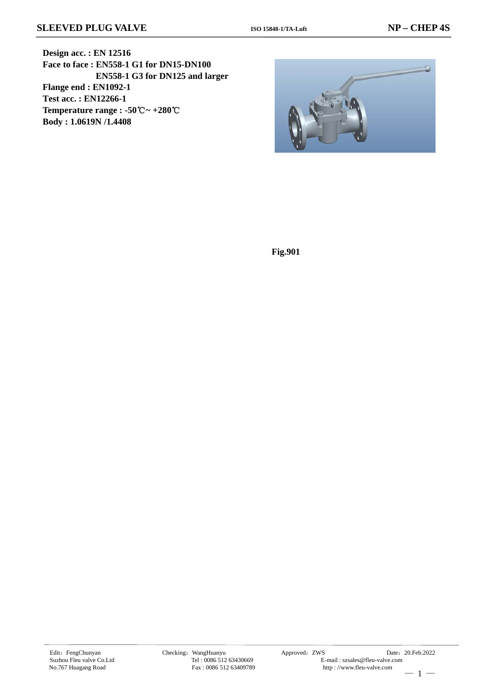**Design acc. : EN 12516 Face to face : EN558-1 G1 for DN15-DN100 EN558-1 G3 for DN125 and larger Flange end : EN1092-1 Test acc. : EN12266-1 Temperature range : -50**℃**~ +280**℃ **Body : 1.0619N /1.4408**



**Fig.901**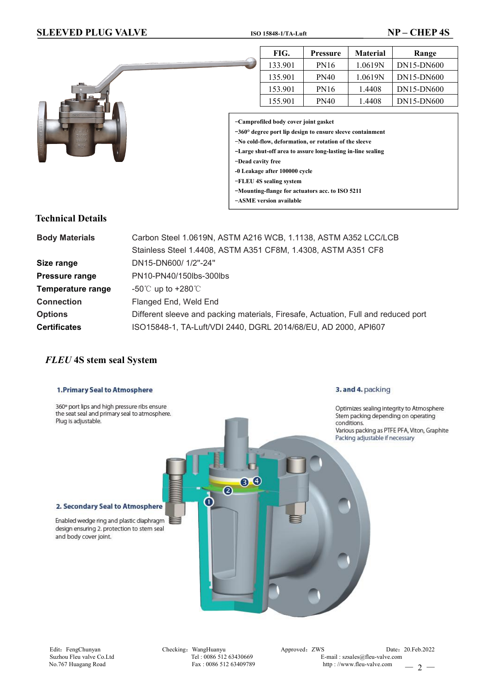## **SLEEVED PLUG VALVE ISO 15848-1/TA-Luft NP – CHEP 4S**



# 135.901 | PN40 | 1.0619N | DN15-DN600 153.901 | PN16 | 1.4408 | DN15-DN600 155.901 | PN40 | 1.4408 | DN15-DN600

**FIG. Pressure Material Range** 133.901 | PN16 | 1.0619N | DN15-DN600

-**Camprofiled body cover joint gasket**

-**360° degree portlip design toensure sleeve containment**

-**No cold-flow, deformation, or rotation of the sleeve**

-**Large shut-off area to assure long-lasting in-line sealing**

-**Dead cavity free**

- **-0 Leakage after 100000 cycle**
- -**FLEU 4S sealing system**
- -**Mounting-flange for actuators acc. to ISO 5211**
- -**ASME version available**

### **Technical Details**

| Carbon Steel 1.0619N, ASTM A216 WCB, 1.1138, ASTM A352 LCC/LCB                     |  |  |  |  |  |
|------------------------------------------------------------------------------------|--|--|--|--|--|
| Stainless Steel 1.4408, ASTM A351 CF8M, 1.4308, ASTM A351 CF8                      |  |  |  |  |  |
| DN15-DN600/1/2"-24"                                                                |  |  |  |  |  |
| PN10-PN40/150lbs-300lbs                                                            |  |  |  |  |  |
| -50 $^{\circ}$ C up to +280 $^{\circ}$ C                                           |  |  |  |  |  |
| Flanged End, Weld End                                                              |  |  |  |  |  |
| Different sleeve and packing materials, Firesafe, Actuation, Full and reduced port |  |  |  |  |  |
| ISO15848-1, TA-Luft/VDI 2440, DGRL 2014/68/EU, AD 2000, API607                     |  |  |  |  |  |
|                                                                                    |  |  |  |  |  |

# *FLEU* **4S stem seal System**

# 3. and 4. packing 1. Primary Seal to Atmosphere 360° port lips and high pressure ribs ensure Optimizes sealing integrity to Atmosphere the seat seal and primary seal to atmosphere. Stem packing depending on operating Plug is adjustable. conditions. Various packing as PTFE PFA, Viton, Graphite Packing adjustable if necessary 80  $\overline{a}$  $\mathbf{d}$ 2. Secondary Seal to Atmosphere Enabled wedge ring and plastic diaphragm design ensuring 2. protection to stem seal and body cover joint.